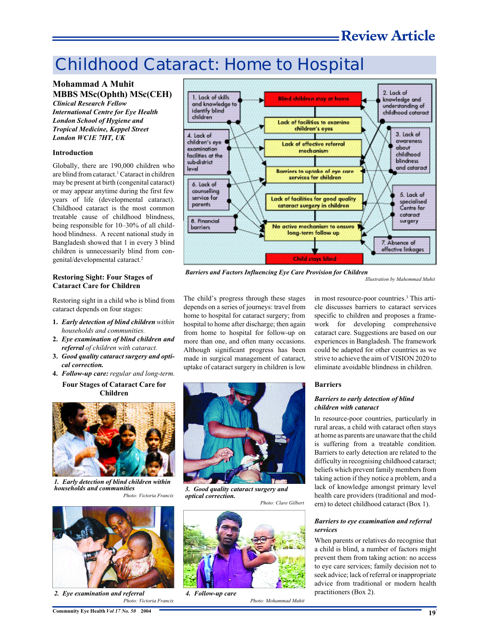# Childhood Cataract: Home to Hospital

### **Mohammad A Muhit MBBS MSc(Ophth) MSc(CEH)** *Clinical Research Fellow*

*International Centre for Eye Health London School of Hygiene and Tropical Medicine, Keppel Street London WC1E 7HT, UK*

#### **Introduction**

Globally, there are 190,000 children who are blind from cataract.<sup>1</sup> Cataract in children may be present at birth (congenital cataract) or may appear anytime during the first few years of life (developmental cataract). Childhood cataract is the most common treatable cause of childhood blindness, being responsible for 10–30% of all childhood blindness. A recent national study in Bangladesh showed that 1 in every 3 blind children is unnecessarily blind from congenital/developmental cataract.<sup>2</sup>

#### **Restoring Sight: Four Stages of Cataract Care for Children**

Restoring sight in a child who is blind from cataract depends on four stages:

- **1.** *Early detection of blind children within households and communities.*
- **2.** *Eye examination of blind children and referral of children with cataract.*
- **3.** *Good quality cataract surgery and optical correction.*
- **4.** *Follow-up care:regular and long-term.* **Four Stages of Cataract Care for**

#### **Children**



*1. Early detection of blind children within households and communities Photo: Victoria Francis*



*2. Eye examination and referral Photo: Victoria Francis*



*Barriers and Factors Influencing Eye Care Provision for Children*

*Illustration by Mahommad Muhit*

The child's progress through these stages depends on a series of journeys: travel from home to hospital for cataract surgery; from hospital to home after discharge; then again from home to hospital for follow-up on more than one, and often many occasions. Although significant progress has been made in surgical management of cataract, uptake of cataract surgery in children is low



*3. Good quality cataract surgery and optical correction.*

*Photo: Clare Gilbert*

*Photo: Mohammad Muhit*



*4. Follow-up care*

in most resource-poor countries.<sup>3</sup> This article discusses barriers to cataract services specific to children and proposes a framework for developing comprehensive cataract care. Suggestions are based on our experiences in Bangladesh. The framework could be adapted for other countries as we strive to achieve the aim of VISION 2020 to eliminate avoidable blindness in children.

#### **Barriers**

#### *Barriers to early detection of blind children with cataract*

In resource-poor countries, particularly in rural areas, a child with cataract often stays at home as parents are unaware that the child is suffering from a treatable condition. Barriers to early detection are related to the difficulty in recognising childhood cataract; beliefs which prevent family members from taking action if they notice a problem, and a lack of knowledge amongst primary level health care providers (traditional and modern) to detect childhood cataract (Box 1).

#### *Barriers to eye examination and referral services*

When parents or relatives do recognise that a child is blind, a number of factors might prevent them from taking action: no access to eye care services; family decision not to seek advice; lack of referral or inappropriate advice from traditional or modern health practitioners (Box 2).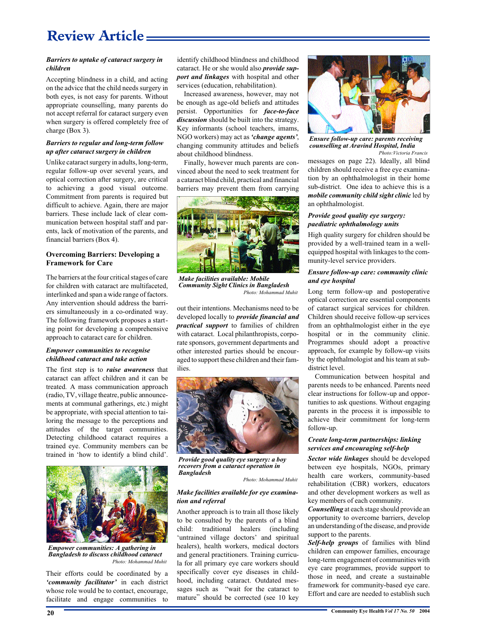## **Review Article**

#### *Barriers to uptake of cataract surgery in children*

Accepting blindness in a child, and acting on the advice that the child needs surgery in both eyes, is not easy for parents. Without appropriate counselling, many parents do not accept referral for cataract surgery even when surgery is offered completely free of charge (Box 3).

#### *Barriers to regular and long-term follow up after cataract surgery in children*

Unlike cataract surgery in adults, long-term, regular follow-up over several years, and optical correction after surgery, are critical to achieving a good visual outcome. Commitment from parents is required but difficult to achieve. Again, there are major barriers. These include lack of clear communication between hospital staff and parents, lack of motivation of the parents, and financial barriers (Box 4).

#### **Overcoming Barriers: Developing a Framework for Care**

The barriers at the four critical stages of care for children with cataract are multifaceted, interlinked and span a wide range of factors. Any intervention should address the barriers simultaneously in a co-ordinated way. The following framework proposes a starting point for developing a comprehensive approach to cataract care for children.

#### *Empower communities to recognise childhood cataract and take action*

The first step is to *raise awareness* that cataract can affect children and it can be treated*.* A mass communication approach (radio, TV, village theatre, public announcements at communal gatherings, etc.) might be appropriate, with special attention to tailoring the message to the perceptions and attitudes of the target communities. Detecting childhood cataract requires a trained eye. Community members can be trained in 'how to identify a blind child'.



*Empower communities: A gathering in Bangladesh to discuss childhood cataract Photo: Mohammad Muhit*

Their efforts could be coordinated by a *'community facilitator'* in each district whose role would be to contact, encourage, facilitate and engage communities to

identify childhood blindness and childhood cataract. He or she would also *provide support and linkages* with hospital and other services (education, rehabilitation).

Increased awareness, however, may not be enough as age-old beliefs and attitudes persist. Opportunities for *face-to-face discussion* should be built into the strategy. Key informants (school teachers, imams, NGO workers) may act as *'change agents'*, changing community attitudes and beliefs about childhood blindness.

Finally, however much parents are convinced about the need to seek treatment for a cataract blind child, practical and financial barriers may prevent them from carrying



*Make facilities available: Mobile Community Sight Clinics in Bangladesh Photo: Mohammad Muhit*

out their intentions. Mechanisms need to be developed locally to *provide financial and practical support* to families of children with cataract. Local philanthropists, corporate sponsors, government departments and other interested parties should be encouraged to support these children and their families.



*Provide good quality eye surgery: a boy recovers from a cataract operation in Bangladesh*

*Photo: Mohammad Muhit*

#### *Make facilities available for eye examination and referral*

Another approach is to train all those likely to be consulted by the parents of a blind child: traditional healers (including 'untrained village doctors' and spiritual healers), health workers, medical doctors and general practitioners. Training curricula for all primary eye care workers should specifically cover eye diseases in childhood, including cataract. Outdated messages such as "wait for the cataract to mature" should be corrected (see 10 key



*Ensure follow-up care: parents receiving counselling at Aravind Hospital, India Photo:Victoria Francis*

messages on page 22). Ideally, all blind children should receive a free eye examination by an ophthalmologist in their home sub-district. One idea to achieve this is a *mobile community child sight clinic* led by an ophthalmologist.

#### *Provide good quality eye surgery: paediatric ophthalmology units*

High quality surgery for children should be provided by a well-trained team in a wellequipped hospital with linkages to the community-level service providers.

#### *Ensure follow-up care: community clinic and eye hospital*

Long term follow-up and postoperative optical correction are essential components of cataract surgical services for children. Children should receive follow-up services from an ophthalmologist either in the eye hospital or in the community clinic. Programmes should adopt a proactive approach, for example by follow-up visits by the ophthalmologist and his team at subdistrict level.

Communication between hospital and parents needs to be enhanced. Parents need clear instructions for follow-up and opportunities to ask questions. Without engaging parents in the process it is impossible to achieve their commitment for long-term follow-up.

#### *Create long-term partnerships: linking services and encouraging self-help*

*Sector wide linkages* should be developed between eye hospitals, NGOs, primary health care workers, community-based rehabilitation (CBR) workers, educators and other development workers as well as key members of each community.

*Counselling* at each stage should provide an opportunity to overcome barriers, develop an understanding of the disease, and provide support to the parents.

*Self-help groups* of families with blind children can empower families, encourage long-term engagement of communities with eye care programmes, provide support to those in need, and create a sustainable framework for community-based eye care. Effort and care are needed to establish such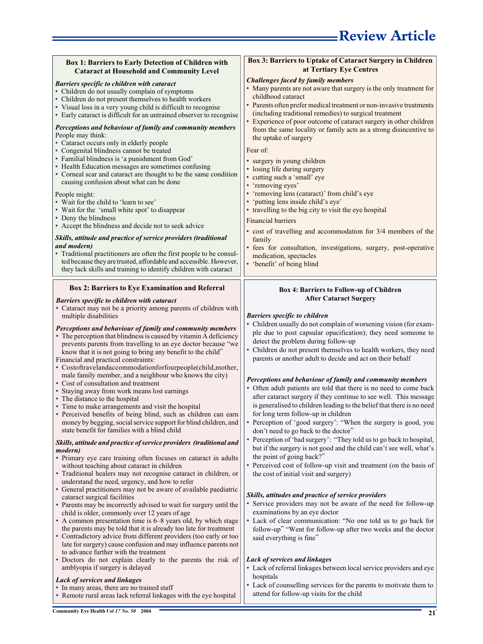| Box 1: Barriers to Early Detection of Children with<br><b>Cataract at Household and Community Level</b>                                                                                                                                                                                                                                                                                                                                                                                                                                                                                                                                                                                                                                                                                                                                                                                                                                                                                                                                                                                                                                                                                                                                                                                                                                                                                                                                                                                                                                                                                       | Box 3: Barriers to Uptake of Cataract Surgery in Children<br>at Tertiary Eye Centres                                                                                                                                                                                                                                                                                                                                                                                                                                                                                                                                                                                                                                                                                                                                                                                                                                                                                                                                                                                                                                                                                                                                                                                                                                                                                            |
|-----------------------------------------------------------------------------------------------------------------------------------------------------------------------------------------------------------------------------------------------------------------------------------------------------------------------------------------------------------------------------------------------------------------------------------------------------------------------------------------------------------------------------------------------------------------------------------------------------------------------------------------------------------------------------------------------------------------------------------------------------------------------------------------------------------------------------------------------------------------------------------------------------------------------------------------------------------------------------------------------------------------------------------------------------------------------------------------------------------------------------------------------------------------------------------------------------------------------------------------------------------------------------------------------------------------------------------------------------------------------------------------------------------------------------------------------------------------------------------------------------------------------------------------------------------------------------------------------|---------------------------------------------------------------------------------------------------------------------------------------------------------------------------------------------------------------------------------------------------------------------------------------------------------------------------------------------------------------------------------------------------------------------------------------------------------------------------------------------------------------------------------------------------------------------------------------------------------------------------------------------------------------------------------------------------------------------------------------------------------------------------------------------------------------------------------------------------------------------------------------------------------------------------------------------------------------------------------------------------------------------------------------------------------------------------------------------------------------------------------------------------------------------------------------------------------------------------------------------------------------------------------------------------------------------------------------------------------------------------------|
| <b>Barriers specific to children with cataract</b><br>• Children do not usually complain of symptoms<br>• Children do not present themselves to health workers<br>• Visual loss in a very young child is difficult to recognise<br>• Early cataract is difficult for an untrained observer to recognise                                                                                                                                                                                                                                                                                                                                                                                                                                                                                                                                                                                                                                                                                                                                                                                                                                                                                                                                                                                                                                                                                                                                                                                                                                                                                       | <b>Challenges faced by family members</b><br>• Many parents are not aware that surgery is the only treatment for<br>childhood cataract<br>• Parents often prefer medical treatment or non-invasive treatments<br>(including traditional remedies) to surgical treatment<br>Experience of poor outcome of cataract surgery in other children                                                                                                                                                                                                                                                                                                                                                                                                                                                                                                                                                                                                                                                                                                                                                                                                                                                                                                                                                                                                                                     |
| Perceptions and behaviour of family and community members<br>People may think:<br>• Cataract occurs only in elderly people<br>• Congenital blindness cannot be treated<br>• Familial blindness is 'a punishment from God'<br>• Health Education messages are sometimes confusing<br>• Corneal scar and cataract are thought to be the same condition<br>causing confusion about what can be done<br>People might:<br>• Wait for the child to 'learn to see'<br>• Wait for the 'small white spot' to disappear<br>• Deny the blindness<br>• Accept the blindness and decide not to seek advice<br>Skills, attitude and practice of service providers (traditional<br>and modern)<br>• Traditional practitioners are often the first people to be consul-<br>ted because they are trusted, affordable and accessible. However,<br>they lack skills and training to identify children with cataract                                                                                                                                                                                                                                                                                                                                                                                                                                                                                                                                                                                                                                                                                              | from the same locality or family acts as a strong disincentive to<br>the uptake of surgery<br>Fear of:<br>• surgery in young children<br>• losing life during surgery<br>• cutting such a 'small' eye<br>• 'removing eyes'<br>• 'removing lens (cataract)' from child's eye<br>'putting lens inside child's eye'<br>• travelling to the big city to visit the eye hospital<br><b>Financial barriers</b><br>• cost of travelling and accommodation for 3/4 members of the<br>family<br>· fees for consultation, investigations, surgery, post-operative<br>medication, spectacles<br>• 'benefit' of being blind                                                                                                                                                                                                                                                                                                                                                                                                                                                                                                                                                                                                                                                                                                                                                                  |
| <b>Box 2: Barriers to Eye Examination and Referral</b><br>Barriers specific to children with cataract                                                                                                                                                                                                                                                                                                                                                                                                                                                                                                                                                                                                                                                                                                                                                                                                                                                                                                                                                                                                                                                                                                                                                                                                                                                                                                                                                                                                                                                                                         | Box 4: Barriers to Follow-up of Children<br><b>After Cataract Surgery</b>                                                                                                                                                                                                                                                                                                                                                                                                                                                                                                                                                                                                                                                                                                                                                                                                                                                                                                                                                                                                                                                                                                                                                                                                                                                                                                       |
| • Cataract may not be a priority among parents of children with<br>multiple disabilities<br>Perceptions and behaviour of family and community members<br>• The perception that blindness is caused by vitamin A deficiency<br>prevents parents from travelling to an eye doctor because "we<br>know that it is not going to bring any benefit to the child"<br>Financial and practical constraints:<br>• Costoftravelandaccommodationforfourpeople(child,mother,<br>male family member, and a neighbour who knows the city)<br>• Cost of consultation and treatment<br>• Staying away from work means lost earnings<br>• The distance to the hospital<br>• Time to make arrangements and visit the hospital<br>• Perceived benefits of being blind, such as children can earn<br>money by begging, social service support for blind children, and<br>state benefit for families with a blind child<br>Skills, attitude and practice of service providers (traditional and<br>modern)<br>• Primary eye care training often focuses on cataract in adults<br>without teaching about cataract in children<br>• Traditional healers may not recognise cataract in children, or<br>understand the need, urgency, and how to refer<br>• General practitioners may not be aware of available paediatric<br>cataract surgical facilities<br>• Parents may be incorrectly advised to wait for surgery until the<br>child is older, commonly over 12 years of age<br>• A common presentation time is 6–8 years old, by which stage<br>the parents may be told that it is already too late for treatment | <b>Barriers specific to children</b><br>• Children usually do not complain of worsening vision (for exam-<br>ple due to post capsular opacification); they need someone to<br>detect the problem during follow-up<br>• Children do not present themselves to health workers, they need<br>parents or another adult to decide and act on their behalf<br>Perceptions and behaviour of family and community members<br>• Often adult patients are told that there is no need to come back<br>after cataract surgery if they continue to see well. This message<br>is generalised to children leading to the belief that there is no need<br>for long term follow-up in children<br>• Perception of 'good surgery': "When the surgery is good, you<br>don't need to go back to the doctor"<br>• Perception of 'bad surgery': "They told us to go back to hospital,<br>but if the surgery is not good and the child can't see well, what's<br>the point of going back?"<br>• Perceived cost of follow-up visit and treatment (on the basis of<br>the cost of initial visit and surgery)<br>Skills, attitudes and practice of service providers<br>• Service providers may not be aware of the need for follow-up<br>examinations by an eye doctor<br>• Lack of clear communication: "No one told us to go back for<br>follow-up" "Went for follow-up after two weeks and the doctor |
| • Contradictory advice from different providers (too early or too<br>late for surgery) cause confusion and may influence parents not<br>to advance further with the treatment<br>· Doctors do not explain clearly to the parents the risk of<br>amblyopia if surgery is delayed<br>Lack of services and linkages<br>• In many areas, there are no trained staff<br>• Remote rural areas lack referral linkages with the eye hospital                                                                                                                                                                                                                                                                                                                                                                                                                                                                                                                                                                                                                                                                                                                                                                                                                                                                                                                                                                                                                                                                                                                                                          | said everything is fine"<br>Lack of services and linkages<br>• Lack of referral linkages between local service providers and eye<br>hospitals<br>• Lack of counselling services for the parents to motivate them to<br>attend for follow-up visits for the child                                                                                                                                                                                                                                                                                                                                                                                                                                                                                                                                                                                                                                                                                                                                                                                                                                                                                                                                                                                                                                                                                                                |